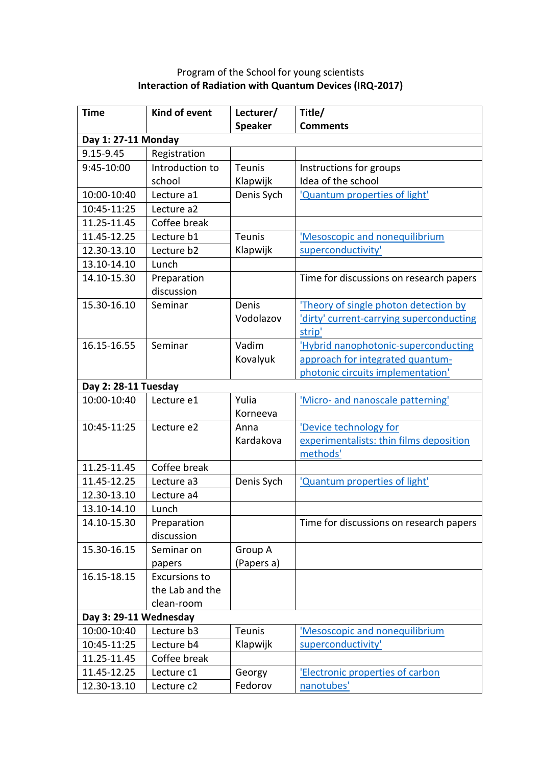| <b>Time</b>            | Kind of event        | Lecturer/      | Title/                                   |  |
|------------------------|----------------------|----------------|------------------------------------------|--|
|                        |                      | <b>Speaker</b> | <b>Comments</b>                          |  |
| Day 1: 27-11 Monday    |                      |                |                                          |  |
| 9.15-9.45              | Registration         |                |                                          |  |
| 9:45-10:00             | Introduction to      | <b>Teunis</b>  | Instructions for groups                  |  |
|                        | school               | Klapwijk       | Idea of the school                       |  |
| 10:00-10:40            | Lecture a1           | Denis Sych     | 'Quantum properties of light'            |  |
| 10:45-11:25            | Lecture a2           |                |                                          |  |
| 11.25-11.45            | Coffee break         |                |                                          |  |
| 11.45-12.25            | Lecture b1           | <b>Teunis</b>  | 'Mesoscopic and nonequilibrium           |  |
| 12.30-13.10            | Lecture b2           | Klapwijk       | superconductivity'                       |  |
| 13.10-14.10            | Lunch                |                |                                          |  |
| 14.10-15.30            | Preparation          |                | Time for discussions on research papers  |  |
|                        | discussion           |                |                                          |  |
| 15.30-16.10            | Seminar              | Denis          | 'Theory of single photon detection by    |  |
|                        |                      | Vodolazov      | 'dirty' current-carrying superconducting |  |
|                        |                      |                | strip'                                   |  |
| 16.15-16.55            | Seminar              | Vadim          | 'Hybrid nanophotonic-superconducting     |  |
|                        |                      | Kovalyuk       | approach for integrated quantum-         |  |
|                        |                      |                | photonic circuits implementation'        |  |
| Day 2: 28-11 Tuesday   |                      |                |                                          |  |
| 10:00-10:40            | Lecture e1           | Yulia          | 'Micro- and nanoscale patterning'        |  |
|                        |                      | Korneeva       |                                          |  |
| 10:45-11:25            | Lecture e2           | Anna           | 'Device technology for                   |  |
|                        |                      | Kardakova      | experimentalists: thin films deposition  |  |
|                        |                      |                | methods'                                 |  |
| 11.25-11.45            | Coffee break         |                |                                          |  |
| 11.45-12.25            | Lecture a3           | Denis Sych     | 'Quantum properties of light'            |  |
| 12.30-13.10            | Lecture a4           |                |                                          |  |
| 13.10-14.10            | Lunch                |                |                                          |  |
| 14.10-15.30            | Preparation          |                | Time for discussions on research papers  |  |
|                        | discussion           |                |                                          |  |
| 15.30-16.15            | Seminar on           | Group A        |                                          |  |
|                        | papers               | (Papers a)     |                                          |  |
| 16.15-18.15            | <b>Excursions to</b> |                |                                          |  |
|                        | the Lab and the      |                |                                          |  |
|                        | clean-room           |                |                                          |  |
| Day 3: 29-11 Wednesday |                      |                |                                          |  |
| 10:00-10:40            | Lecture b3           | Teunis         | 'Mesoscopic and nonequilibrium           |  |
| 10:45-11:25            | Lecture b4           | Klapwijk       | superconductivity'                       |  |
| 11.25-11.45            | Coffee break         |                |                                          |  |
| 11.45-12.25            | Lecture c1           | Georgy         | 'Electronic properties of carbon         |  |
| 12.30-13.10            | Lecture c2           | Fedorov        | nanotubes'                               |  |

## Program of the School for young scientists **Interaction of Radiation with Quantum Devices (IRQ-2017)**